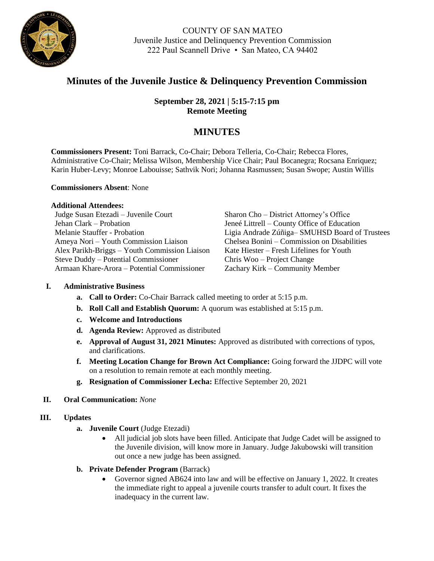

COUNTY OF SAN MATEO Juvenile Justice and Delinquency Prevention Commission 222 Paul Scannell Drive • San Mateo, CA 94402

# **Minutes of the Juvenile Justice & Delinquency Prevention Commission**

**September 28, 2021 | 5:15-7:15 pm Remote Meeting**

## **MINUTES**

**Commissioners Present:** Toni Barrack, Co-Chair; Debora Telleria, Co-Chair; Rebecca Flores, Administrative Co-Chair; Melissa Wilson, Membership Vice Chair; Paul Bocanegra; Rocsana Enriquez; Karin Huber-Levy; Monroe Labouisse; Sathvik Nori; Johanna Rasmussen; Susan Swope; Austin Willis

#### **Commissioners Absent**: None

#### **Additional Attendees:**

Judge Susan Etezadi – Juvenile Court Jehan Clark – Probation Melanie Stauffer - Probation Ameya Nori – Youth Commission Liaison Alex Parikh-Briggs – Youth Commission Liaison Steve Duddy – Potential Commissioner Armaan Khare-Arora – Potential Commissioner

Sharon Cho – District Attorney's Office Jeneé Littrell – County Office of Education Ligia Andrade Zúñiga– SMUHSD Board of Trustees Chelsea Bonini – Commission on Disabilities Kate Hiester – Fresh Lifelines for Youth Chris Woo – Project Change Zachary Kirk – Community Member

#### **I. Administrative Business**

- **a. Call to Order:** Co-Chair Barrack called meeting to order at 5:15 p.m.
- **b. Roll Call and Establish Quorum:** A quorum was established at 5:15 p.m.
- **c. Welcome and Introductions**
- **d. Agenda Review:** Approved as distributed
- **e. Approval of August 31, 2021 Minutes:** Approved as distributed with corrections of typos, and clarifications.
- **f. Meeting Location Change for Brown Act Compliance:** Going forward the JJDPC will vote on a resolution to remain remote at each monthly meeting.
- **g. Resignation of Commissioner Lecha:** Effective September 20, 2021

#### **II. Oral Communication:** *None*

#### **III. Updates**

- **a. Juvenile Court** (Judge Etezadi)
	- All judicial job slots have been filled. Anticipate that Judge Cadet will be assigned to the Juvenile division, will know more in January. Judge Jakubowski will transition out once a new judge has been assigned.
- **b.** Private Defender Program (Barrack)
	- Governor signed AB624 into law and will be effective on January 1, 2022. It creates the immediate right to appeal a juvenile courts transfer to adult court. It fixes the inadequacy in the current law.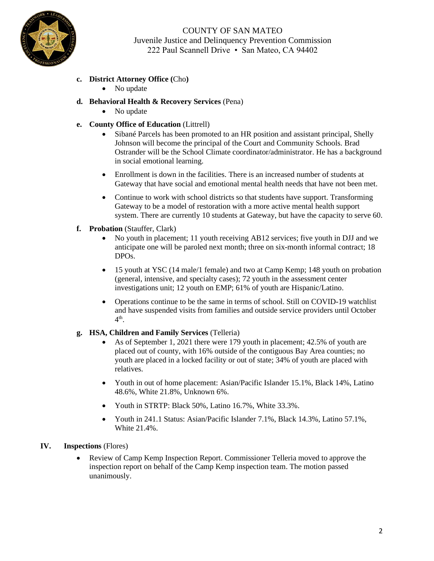

COUNTY OF SAN MATEO Juvenile Justice and Delinquency Prevention Commission 222 Paul Scannell Drive • San Mateo, CA 94402

- **c. District Attorney Office (**Cho**)**
	- No update
- **d. Behavioral Health & Recovery Services** (Pena)
	- No update
- **e. County Office of Education** (Littrell)
	- Sibané Parcels has been promoted to an HR position and assistant principal, Shelly Johnson will become the principal of the Court and Community Schools. Brad Ostrander will be the School Climate coordinator/administrator. He has a background in social emotional learning.
	- Enrollment is down in the facilities. There is an increased number of students at Gateway that have social and emotional mental health needs that have not been met.
	- Continue to work with school districts so that students have support. Transforming Gateway to be a model of restoration with a more active mental health support system. There are currently 10 students at Gateway, but have the capacity to serve 60.
- **f. Probation** (Stauffer, Clark)
	- No youth in placement; 11 youth receiving AB12 services; five youth in DJJ and we anticipate one will be paroled next month; three on six-month informal contract; 18 DPOs.
	- 15 youth at YSC (14 male/1 female) and two at Camp Kemp; 148 youth on probation (general, intensive, and specialty cases); 72 youth in the assessment center investigations unit; 12 youth on EMP; 61% of youth are Hispanic/Latino.
	- Operations continue to be the same in terms of school. Still on COVID-19 watchlist and have suspended visits from families and outside service providers until October 4<sup>th</sup>.

#### **g. HSA, Children and Family Services** (Telleria)

- As of September 1, 2021 there were 179 youth in placement; 42.5% of youth are placed out of county, with 16% outside of the contiguous Bay Area counties; no youth are placed in a locked facility or out of state; 34% of youth are placed with relatives.
- Youth in out of home placement: Asian/Pacific Islander 15.1%, Black 14%, Latino 48.6%, White 21.8%, Unknown 6%.
- Youth in STRTP: Black 50%, Latino 16.7%, White 33.3%.
- Youth in 241.1 Status: Asian/Pacific Islander 7.1%, Black 14.3%, Latino 57.1%, White 21.4%.

#### **IV. Inspections** (Flores)

• Review of Camp Kemp Inspection Report. Commissioner Telleria moved to approve the inspection report on behalf of the Camp Kemp inspection team. The motion passed unanimously.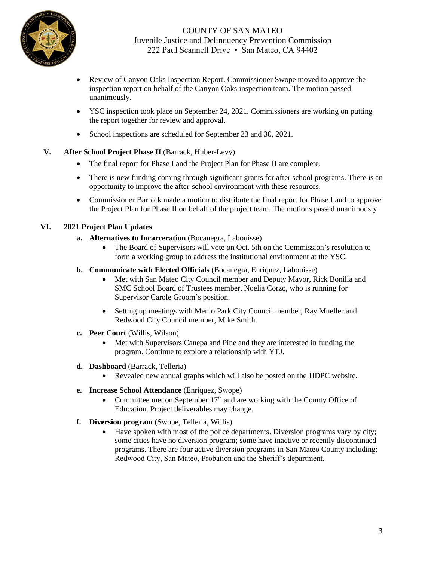

- Review of Canyon Oaks Inspection Report. Commissioner Swope moved to approve the inspection report on behalf of the Canyon Oaks inspection team. The motion passed unanimously.
- YSC inspection took place on September 24, 2021. Commissioners are working on putting the report together for review and approval.
- School inspections are scheduled for September 23 and 30, 2021.

## **V. After School Project Phase II** (Barrack, Huber-Levy)

- The final report for Phase I and the Project Plan for Phase II are complete.
- There is new funding coming through significant grants for after school programs. There is an opportunity to improve the after-school environment with these resources.
- Commissioner Barrack made a motion to distribute the final report for Phase I and to approve the Project Plan for Phase II on behalf of the project team. The motions passed unanimously.

#### **VI. 2021 Project Plan Updates**

- **a. Alternatives to Incarceration** (Bocanegra, Labouisse)
	- The Board of Supervisors will vote on Oct. 5th on the Commission's resolution to form a working group to address the institutional environment at the YSC.
- **b. Communicate with Elected Officials** (Bocanegra, Enriquez, Labouisse)
	- Met with San Mateo City Council member and Deputy Mayor, Rick Bonilla and SMC School Board of Trustees member, Noelia Corzo, who is running for Supervisor Carole Groom's position.
	- Setting up meetings with Menlo Park City Council member, Ray Mueller and Redwood City Council member, Mike Smith.
- **c. Peer Court** (Willis, Wilson)
	- Met with Supervisors Canepa and Pine and they are interested in funding the program. Continue to explore a relationship with YTJ.
- **d. Dashboard** (Barrack, Telleria)
	- Revealed new annual graphs which will also be posted on the JJDPC website.
- **e. Increase School Attendance** (Enriquez, Swope)
	- Committee met on September  $17<sup>th</sup>$  and are working with the County Office of Education. Project deliverables may change.
- **f. Diversion program** (Swope, Telleria, Willis)
	- Have spoken with most of the police departments. Diversion programs vary by city; some cities have no diversion program; some have inactive or recently discontinued programs. There are four active diversion programs in San Mateo County including: Redwood City, San Mateo, Probation and the Sheriff's department.